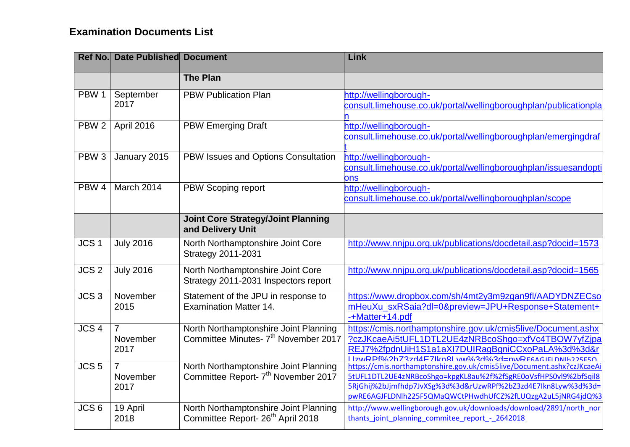| <b>Ref No.</b>            | <b>Date Published Document</b>     |                                                                                           | Link                                                                                                                                                                                                                                                                     |
|---------------------------|------------------------------------|-------------------------------------------------------------------------------------------|--------------------------------------------------------------------------------------------------------------------------------------------------------------------------------------------------------------------------------------------------------------------------|
|                           |                                    | <b>The Plan</b>                                                                           |                                                                                                                                                                                                                                                                          |
| PBW <sub>1</sub>          | September<br>2017                  | <b>PBW Publication Plan</b>                                                               | http://wellingborough-<br>consult.limehouse.co.uk/portal/wellingboroughplan/publicationpla                                                                                                                                                                               |
| PBW <sub>2</sub>          | April 2016                         | <b>PBW Emerging Draft</b>                                                                 | http://wellingborough-<br>consult.limehouse.co.uk/portal/wellingboroughplan/emergingdraf                                                                                                                                                                                 |
| PBW <sub>3</sub>          | January 2015                       | PBW Issues and Options Consultation                                                       | http://wellingborough-<br>consult.limehouse.co.uk/portal/wellingboroughplan/issuesandopti<br>ons                                                                                                                                                                         |
| PBW <sub>4</sub>          | March 2014                         | PBW Scoping report                                                                        | http://wellingborough-<br>consult.limehouse.co.uk/portal/wellingboroughplan/scope                                                                                                                                                                                        |
|                           |                                    | <b>Joint Core Strategy/Joint Planning</b><br>and Delivery Unit                            |                                                                                                                                                                                                                                                                          |
| JCS <sub>1</sub>          | <b>July 2016</b>                   | North Northamptonshire Joint Core<br><b>Strategy 2011-2031</b>                            | http://www.nnjpu.org.uk/publications/docdetail.asp?docid=1573                                                                                                                                                                                                            |
| JCS <sub>2</sub>          | <b>July 2016</b>                   | North Northamptonshire Joint Core<br>Strategy 2011-2031 Inspectors report                 | http://www.nnjpu.org.uk/publications/docdetail.asp?docid=1565                                                                                                                                                                                                            |
| $\overline{\text{JCS }3}$ | November<br>2015                   | Statement of the JPU in response to<br><b>Examination Matter 14.</b>                      | https://www.dropbox.com/sh/4mt2y3m9zgan9fl/AADYDNZECso<br>mHeuXu_sxRSaia?dl=0&preview=JPU+Response+Statement+<br>-+Matter+14.pdf                                                                                                                                         |
| $\overline{\text{JCS }4}$ | $\overline{7}$<br>November<br>2017 | North Northamptonshire Joint Planning<br>Committee Minutes- 7 <sup>th</sup> November 2017 | https://cmis.northamptonshire.gov.uk/cmis5live/Document.ashx<br>?czJKcaeAi5tUFL1DTL2UE4zNRBcoShgo=xfVc4TBOW7yfZjpa<br>REJ7%2fpdnUiH1S1a1aXI7DUIRagBgniCCxoPaLA%3d%3d&r<br>11zwRPf%2h73zd4F7lkn8Lww%3d%3d-nwRE6AGIELDNIh225E50                                            |
| JCS <sub>5</sub>          | $\overline{7}$<br>November<br>2017 | North Northamptonshire Joint Planning<br>Committee Report- 7 <sup>th</sup> November 2017  | https://cmis.northamptonshire.gov.uk/cmis5live/Document.ashx?czJKcaeAi<br>5tUFL1DTL2UE4zNRBcoShgo=kpgKL8au%2f%2fSgRE0oVsfHPS0vl9%2bfSqil8<br>5RjGhij%2bJjmfhdp7JvXSg%3d%3d&rUzwRPf%2bZ3zd4E7Ikn8Lyw%3d%3d=<br>pwRE6AGJFLDNlh225F5QMaQWCtPHwdhUfCZ%2fLUQzgA2uL5jNRG4jdQ%3 |
| JCS <sub>6</sub>          | 19 April<br>2018                   | North Northamptonshire Joint Planning<br>Committee Report- 26 <sup>th</sup> April 2018    | http://www.wellingborough.gov.uk/downloads/download/2891/north_nor<br>thants joint planning commitee report - 2642018                                                                                                                                                    |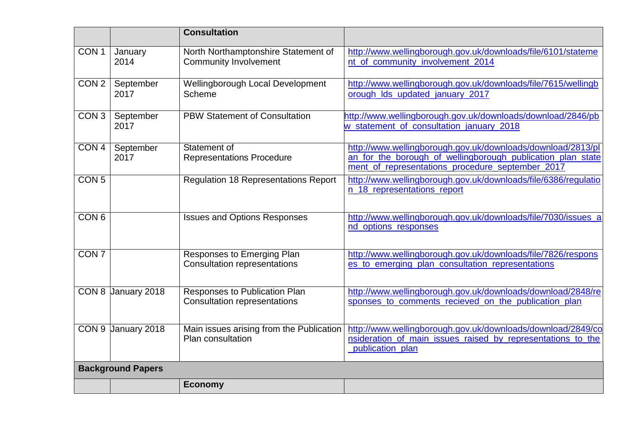|                  |                          | <b>Consultation</b>                                                      |                                                                                                                                                                                |  |
|------------------|--------------------------|--------------------------------------------------------------------------|--------------------------------------------------------------------------------------------------------------------------------------------------------------------------------|--|
| CON <sub>1</sub> | January<br>2014          | North Northamptonshire Statement of<br><b>Community Involvement</b>      | http://www.wellingborough.gov.uk/downloads/file/6101/stateme<br>nt of community involvement 2014                                                                               |  |
| CON <sub>2</sub> | September<br>2017        | Wellingborough Local Development<br>Scheme                               | http://www.wellingborough.gov.uk/downloads/file/7615/wellingb<br>orough Ids updated january 2017                                                                               |  |
| CON <sub>3</sub> | September<br>2017        | <b>PBW Statement of Consultation</b>                                     | http://www.wellingborough.gov.uk/downloads/download/2846/pb<br>w statement of consultation january 2018                                                                        |  |
| CON <sub>4</sub> | September<br>2017        | Statement of<br><b>Representations Procedure</b>                         | http://www.wellingborough.gov.uk/downloads/download/2813/pl<br>an for the borough of wellingborough publication plan state<br>ment of representations procedure september 2017 |  |
| CON 5            |                          | <b>Regulation 18 Representations Report</b>                              | http://www.wellingborough.gov.uk/downloads/file/6386/regulatio<br>n_18_representations_report                                                                                  |  |
| CON <sub>6</sub> |                          | <b>Issues and Options Responses</b>                                      | http://www.wellingborough.gov.uk/downloads/file/7030/issues_a<br>nd options responses                                                                                          |  |
| CON <sub>7</sub> |                          | <b>Responses to Emerging Plan</b><br><b>Consultation representations</b> | http://www.wellingborough.gov.uk/downloads/file/7826/respons<br>es to emerging plan consultation representations                                                               |  |
|                  | CON 8 January 2018       | Responses to Publication Plan<br><b>Consultation representations</b>     | http://www.wellingborough.gov.uk/downloads/download/2848/re<br>sponses to comments recieved on the publication plan                                                            |  |
|                  | CON 9 January 2018       | Main issues arising from the Publication<br>Plan consultation            | http://www.wellingborough.gov.uk/downloads/download/2849/co<br>nsideration of main issues raised by representations to the<br>publication plan                                 |  |
|                  | <b>Background Papers</b> |                                                                          |                                                                                                                                                                                |  |
|                  |                          | <b>Economy</b>                                                           |                                                                                                                                                                                |  |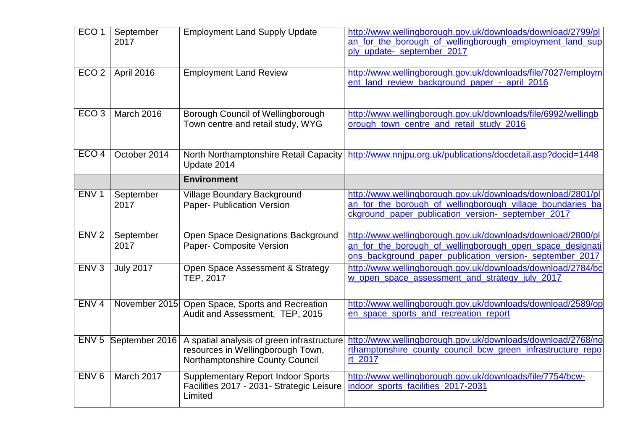| ECO <sub>1</sub> | September<br>2017 | <b>Employment Land Supply Update</b>                                                                               | http://www.wellingborough.gov.uk/downloads/download/2799/pl<br>an for the borough of wellingborough employment land sup<br>ply_update-_september_2017                                |
|------------------|-------------------|--------------------------------------------------------------------------------------------------------------------|--------------------------------------------------------------------------------------------------------------------------------------------------------------------------------------|
| ECO <sub>2</sub> | April 2016        | <b>Employment Land Review</b>                                                                                      | http://www.wellingborough.gov.uk/downloads/file/7027/employm<br>ent_land_review_background_paper_-_april_2016                                                                        |
| ECO <sub>3</sub> | <b>March 2016</b> | Borough Council of Wellingborough<br>Town centre and retail study, WYG                                             | http://www.wellingborough.gov.uk/downloads/file/6992/wellingb<br>orough_town_centre_and_retail_study_2016                                                                            |
| ECO <sub>4</sub> | October 2014      | North Northamptonshire Retail Capacity<br>Update 2014                                                              | http://www.nnjpu.org.uk/publications/docdetail.asp?docid=1448                                                                                                                        |
|                  |                   | <b>Environment</b>                                                                                                 |                                                                                                                                                                                      |
| ENV <sub>1</sub> | September<br>2017 | Village Boundary Background<br>Paper- Publication Version                                                          | http://www.wellingborough.gov.uk/downloads/download/2801/pl<br>an for the borough of wellingborough village boundaries ba<br>ckground_paper_publication_version-_september_2017      |
| ENV <sub>2</sub> | September<br>2017 | Open Space Designations Background<br>Paper- Composite Version                                                     | http://www.wellingborough.gov.uk/downloads/download/2800/pl<br>an for the borough of wellingborough open space designati<br>ons_background_paper_publication_version-_september_2017 |
| ENV <sub>3</sub> | <b>July 2017</b>  | Open Space Assessment & Strategy<br>TEP, 2017                                                                      | http://www.wellingborough.gov.uk/downloads/download/2784/bc<br>w open space assessment and strategy july 2017                                                                        |
| ENV <sub>4</sub> | November 2015     | Open Space, Sports and Recreation<br>Audit and Assessment, TEP, 2015                                               | http://www.wellingborough.gov.uk/downloads/download/2589/op<br>en_space_sports_and_recreation_report                                                                                 |
| ENV <sub>5</sub> | September 2016    | A spatial analysis of green infrastructure<br>resources in Wellingborough Town,<br>Northamptonshire County Council | http://www.wellingborough.gov.uk/downloads/download/2768/no<br>rthamptonshire county council bcw green infrastructure repo<br>rt_2017                                                |
| ENV <sub>6</sub> | March 2017        | <b>Supplementary Report Indoor Sports</b><br>Facilities 2017 - 2031 - Strategic Leisure<br>Limited                 | http://www.wellingborough.gov.uk/downloads/file/7754/bcw-<br>indoor sports facilities 2017-2031                                                                                      |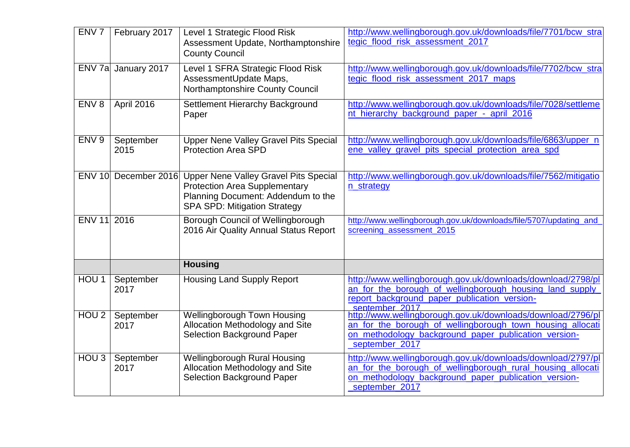| ENV <sub>7</sub> | February 2017       | Level 1 Strategic Flood Risk<br>Assessment Update, Northamptonshire<br><b>County Council</b>                                                                                    | http://www.wellingborough.gov.uk/downloads/file/7701/bcw_stra<br>tegic_flood_risk_assessment_2017                                                                                                     |
|------------------|---------------------|---------------------------------------------------------------------------------------------------------------------------------------------------------------------------------|-------------------------------------------------------------------------------------------------------------------------------------------------------------------------------------------------------|
|                  | ENV 7a January 2017 | Level 1 SFRA Strategic Flood Risk<br>AssessmentUpdate Maps,<br>Northamptonshire County Council                                                                                  | http://www.wellingborough.gov.uk/downloads/file/7702/bcw_stra<br>tegic_flood_risk_assessment_2017_maps                                                                                                |
| ENV <sub>8</sub> | April 2016          | Settlement Hierarchy Background<br>Paper                                                                                                                                        | http://www.wellingborough.gov.uk/downloads/file/7028/settleme<br>nt hierarchy background paper - april 2016                                                                                           |
| ENV <sub>9</sub> | September<br>2015   | <b>Upper Nene Valley Gravel Pits Special</b><br><b>Protection Area SPD</b>                                                                                                      | http://www.wellingborough.gov.uk/downloads/file/6863/upper_n<br>ene_valley_gravel_pits_special_protection_area_spd                                                                                    |
|                  |                     | ENV 10 December 2016 Upper Nene Valley Gravel Pits Special<br><b>Protection Area Supplementary</b><br>Planning Document: Addendum to the<br><b>SPA SPD: Mitigation Strategy</b> | http://www.wellingborough.gov.uk/downloads/file/7562/mitigatio<br>n_strategy                                                                                                                          |
| ENV 11 2016      |                     | Borough Council of Wellingborough<br>2016 Air Quality Annual Status Report                                                                                                      | http://www.wellingborough.gov.uk/downloads/file/5707/updating and<br>screening_assessment_2015                                                                                                        |
|                  |                     | <b>Housing</b>                                                                                                                                                                  |                                                                                                                                                                                                       |
| HOU <sub>1</sub> | September<br>2017   | <b>Housing Land Supply Report</b>                                                                                                                                               | http://www.wellingborough.gov.uk/downloads/download/2798/pl<br>an for the borough of wellingborough housing land supply<br>report_background_paper_publication_version-<br>september 2017             |
| HOU <sub>2</sub> | September<br>2017   | Wellingborough Town Housing<br>Allocation Methodology and Site<br><b>Selection Background Paper</b>                                                                             | http://www.wellingborough.gov.uk/downloads/download/2796/pl<br>an for the borough of wellingborough town housing allocati<br>on methodology background paper publication version-<br>september_2017   |
| HOU <sub>3</sub> | September<br>2017   | <b>Wellingborough Rural Housing</b><br>Allocation Methodology and Site<br><b>Selection Background Paper</b>                                                                     | http://www.wellingborough.gov.uk/downloads/download/2797/pl<br>an for the borough of wellingborough rural housing allocati<br>on methodology background paper publication version-<br>_september_2017 |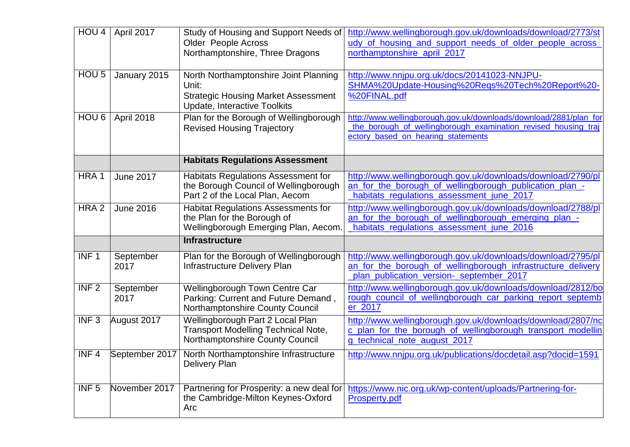| HOU <sub>4</sub> | April 2017        | Study of Housing and Support Needs of<br><b>Older People Across</b><br>Northamptonshire, Three Dragons                              | http://www.wellingborough.gov.uk/downloads/download/2773/st<br>udy of housing and support needs of older people across<br>northamptonshire_april_2017                     |
|------------------|-------------------|-------------------------------------------------------------------------------------------------------------------------------------|---------------------------------------------------------------------------------------------------------------------------------------------------------------------------|
| HOU <sub>5</sub> | January 2015      | North Northamptonshire Joint Planning<br>Unit:<br><b>Strategic Housing Market Assessment</b><br><b>Update, Interactive Toolkits</b> | http://www.nnjpu.org.uk/docs/20141023-NNJPU-<br>SHMA%20Update-Housing%20Reqs%20Tech%20Report%20-<br>%20FINAL.pdf                                                          |
| HOU <sub>6</sub> | April 2018        | Plan for the Borough of Wellingborough<br><b>Revised Housing Trajectory</b>                                                         | http://www.wellingborough.gov.uk/downloads/download/2881/plan for<br>the borough of wellingborough examination revised housing traj<br>ectory_based_on_hearing_statements |
|                  |                   | <b>Habitats Regulations Assessment</b>                                                                                              |                                                                                                                                                                           |
| HRA1             | <b>June 2017</b>  | Habitats Regulations Assessment for<br>the Borough Council of Wellingborough<br>Part 2 of the Local Plan, Aecom                     | http://www.wellingborough.gov.uk/downloads/download/2790/pl<br>an for the borough of wellingborough publication plan -<br>habitats regulations assessment june 2017       |
| HRA <sub>2</sub> | <b>June 2016</b>  | <b>Habitat Regulations Assessments for</b><br>the Plan for the Borough of<br>Wellingborough Emerging Plan, Aecom.                   | http://www.wellingborough.gov.uk/downloads/download/2788/pl<br>an for the borough of wellingborough emerging plan -<br>habitats regulations assessment june 2016          |
|                  |                   | <b>Infrastructure</b>                                                                                                               |                                                                                                                                                                           |
| INF <sub>1</sub> | September<br>2017 | Plan for the Borough of Wellingborough<br>Infrastructure Delivery Plan                                                              | http://www.wellingborough.gov.uk/downloads/download/2795/pl<br>an for the borough of wellingborough infrastructure delivery<br>plan publication version- september 2017   |
| INF 2            | September<br>2017 | Wellingborough Town Centre Car<br>Parking: Current and Future Demand,<br><b>Northamptonshire County Council</b>                     | http://www.wellingborough.gov.uk/downloads/download/2812/bo<br>rough council of wellingborough car parking report septemb<br>$er_2$ 017                                   |
| INF <sub>3</sub> | August 2017       | Wellingborough Part 2 Local Plan<br><b>Transport Modelling Technical Note,</b><br>Northamptonshire County Council                   | http://www.wellingborough.gov.uk/downloads/download/2807/nc<br>c_plan_for_the_borough_of_wellingborough_transport_modellin<br>g technical_note_august_2017                |
| INF <sub>4</sub> | September 2017    | North Northamptonshire Infrastructure<br><b>Delivery Plan</b>                                                                       | http://www.nnjpu.org.uk/publications/docdetail.asp?docid=1591                                                                                                             |
| INF 5            | November 2017     | Partnering for Prosperity: a new deal for<br>the Cambridge-Milton Keynes-Oxford<br>Arc                                              | https://www.nic.org.uk/wp-content/uploads/Partnering-for-<br><b>Prosperty.pdf</b>                                                                                         |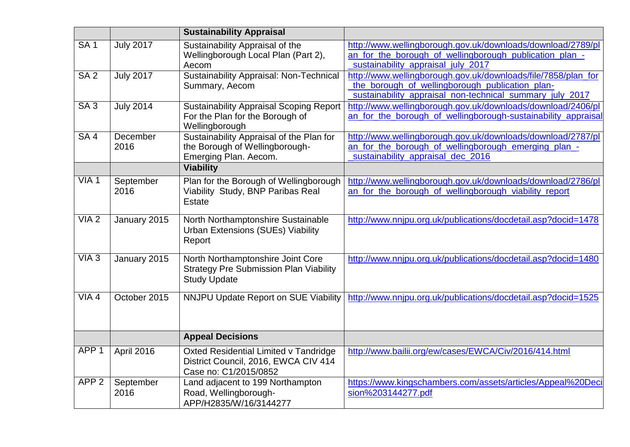|                  |                   | <b>Sustainability Appraisal</b>                                                                           |                                                                                                                                                                              |
|------------------|-------------------|-----------------------------------------------------------------------------------------------------------|------------------------------------------------------------------------------------------------------------------------------------------------------------------------------|
| SA <sub>1</sub>  | <b>July 2017</b>  | Sustainability Appraisal of the<br>Wellingborough Local Plan (Part 2),<br>Aecom                           | http://www.wellingborough.gov.uk/downloads/download/2789/pl<br>an for the borough of wellingborough publication plan -<br>sustainability_appraisal_july_2017                 |
| SA <sub>2</sub>  | <b>July 2017</b>  | <b>Sustainability Appraisal: Non-Technical</b><br>Summary, Aecom                                          | http://www.wellingborough.gov.uk/downloads/file/7858/plan_for<br>the borough of wellingborough publication plan-<br>sustainability appraisal non-technical summary july 2017 |
| SA3              | <b>July 2014</b>  | Sustainability Appraisal Scoping Report<br>For the Plan for the Borough of<br>Wellingborough              | http://www.wellingborough.gov.uk/downloads/download/2406/pl<br>an_for_the_borough_of_wellingborough-sustainability_appraisa                                                  |
| SA4              | December<br>2016  | Sustainability Appraisal of the Plan for<br>the Borough of Wellingborough-<br>Emerging Plan. Aecom.       | http://www.wellingborough.gov.uk/downloads/download/2787/pl<br>an for the borough of wellingborough emerging plan -<br>sustainability_appraisal_dec_2016                     |
|                  |                   | <b>Viability</b>                                                                                          |                                                                                                                                                                              |
| $VIA$ 1          | September<br>2016 | Plan for the Borough of Wellingborough<br>Viability Study, BNP Paribas Real<br>Estate                     | http://www.wellingborough.gov.uk/downloads/download/2786/pl<br>an for the borough of wellingborough viability report                                                         |
| VIA2             | January 2015      | North Northamptonshire Sustainable<br><b>Urban Extensions (SUEs) Viability</b><br>Report                  | http://www.nnjpu.org.uk/publications/docdetail.asp?docid=1478                                                                                                                |
| $VIA$ 3          | January 2015      | North Northamptonshire Joint Core<br><b>Strategy Pre Submission Plan Viability</b><br><b>Study Update</b> | http://www.nnjpu.org.uk/publications/docdetail.asp?docid=1480                                                                                                                |
| $VIA$ 4          | October 2015      | <b>NNJPU Update Report on SUE Viability</b>                                                               | http://www.nnjpu.org.uk/publications/docdetail.asp?docid=1525                                                                                                                |
|                  |                   | <b>Appeal Decisions</b>                                                                                   |                                                                                                                                                                              |
| APP <sub>1</sub> | April 2016        | Oxted Residential Limited v Tandridge<br>District Council, 2016, EWCA CIV 414<br>Case no: C1/2015/0852    | http://www.bailii.org/ew/cases/EWCA/Civ/2016/414.html                                                                                                                        |
| APP <sub>2</sub> | September<br>2016 | Land adjacent to 199 Northampton<br>Road, Wellingborough-<br>APP/H2835/W/16/3144277                       | https://www.kingschambers.com/assets/articles/Appeal%20Deci<br>sion%203144277.pdf                                                                                            |